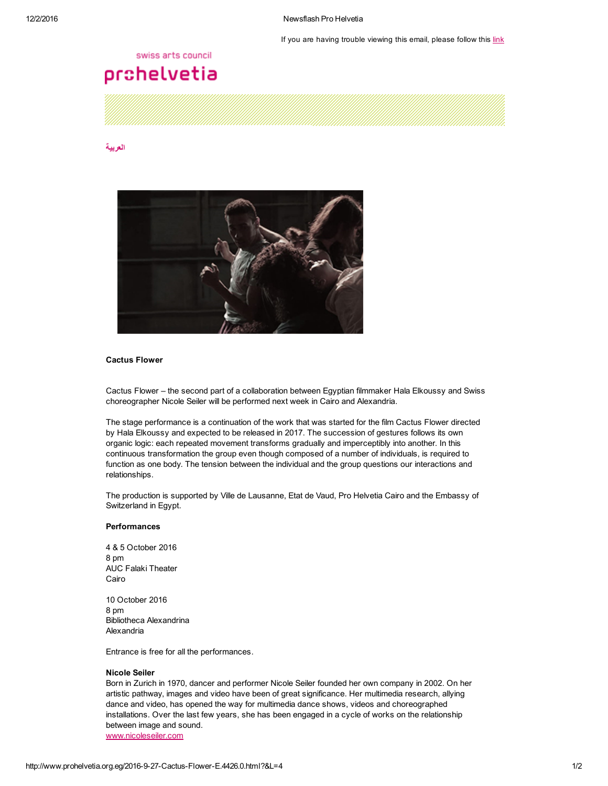If you are having trouble viewing this email, please follow this [link](http://www.prohelvetia.org.eg/4426.0.html?&showInBrowserView=1)

## swiss arts council

# prohelvetia

#### [العربية](http://www.prohelvetia.org.eg/4424.0.html)



# Cactus Flower

Cactus Flower – the second part of a collaboration between Egyptian filmmaker Hala Elkoussy and Swiss choreographer Nicole Seiler will be performed next week in Cairo and Alexandria.

The stage performance is a continuation of the work that was started for the film Cactus Flower directed by Hala Elkoussy and expected to be released in 2017. The succession of gestures follows its own organic logic: each repeated movement transforms gradually and imperceptibly into another. In this continuous transformation the group even though composed of a number of individuals, is required to function as one body. The tension between the individual and the group questions our interactions and relationships.

The production is supported by Ville de Lausanne, Etat de Vaud, Pro Helvetia Cairo and the Embassy of Switzerland in Egypt.

## Performances

4 & 5 October 2016 8 pm AUC Falaki Theater Cairo

10 October 2016 8 pm Bibliotheca Alexandrina Alexandria

Entrance is free for all the performances.

#### Nicole Seiler

Born in Zurich in 1970, dancer and performer Nicole Seiler founded her own company in 2002. On her artistic pathway, images and video have been of great significance. Her multimedia research, allying dance and video, has opened the way for multimedia dance shows, videos and choreographed installations. Over the last few years, she has been engaged in a cycle of works on the relationship between image and sound. [www.nicoleseiler.com](http://www.nicoleseiler.com/)